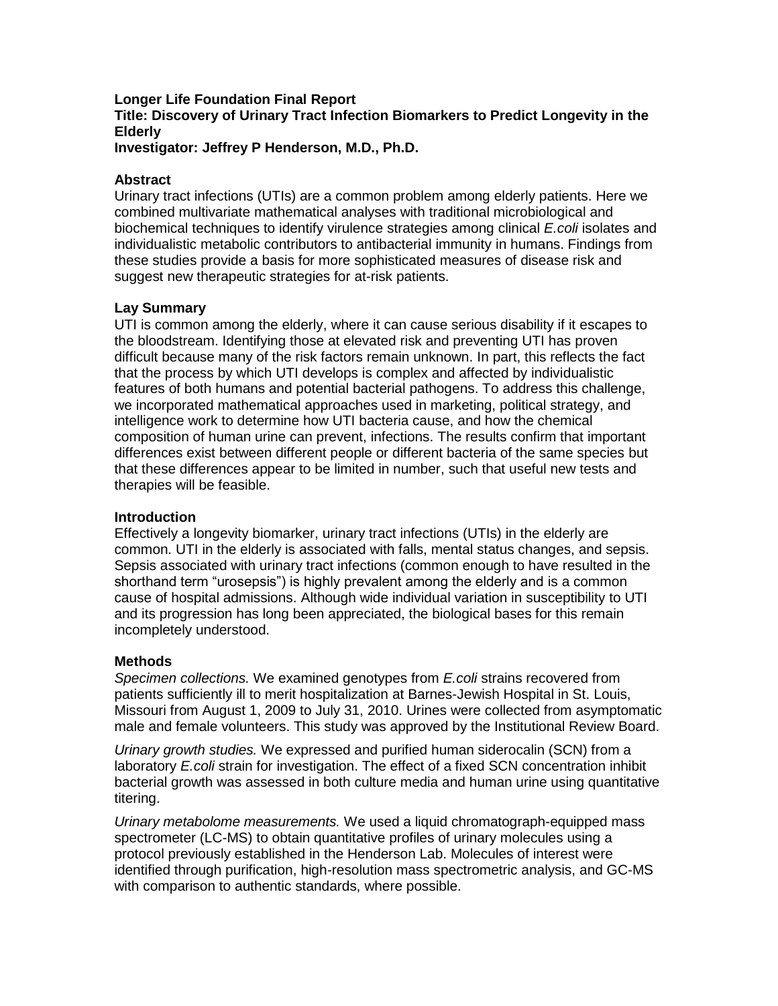#### **Longer Life Foundation Final Report Title: Discovery of Urinary Tract Infection Biomarkers to Predict Longevity in the Elderly Investigator: Jeffrey P Henderson, M.D., Ph.D.**

### **Abstract**

Urinary tract infections (UTIs) are a common problem among elderly patients. Here we combined multivariate mathematical analyses with traditional microbiological and biochemical techniques to identify virulence strategies among clinical *E.coli* isolates and individualistic metabolic contributors to antibacterial immunity in humans. Findings from these studies provide a basis for more sophisticated measures of disease risk and suggest new therapeutic strategies for at-risk patients.

## **Lay Summary**

UTI is common among the elderly, where it can cause serious disability if it escapes to the bloodstream. Identifying those at elevated risk and preventing UTI has proven difficult because many of the risk factors remain unknown. In part, this reflects the fact that the process by which UTI develops is complex and affected by individualistic features of both humans and potential bacterial pathogens. To address this challenge, we incorporated mathematical approaches used in marketing, political strategy, and intelligence work to determine how UTI bacteria cause, and how the chemical composition of human urine can prevent, infections. The results confirm that important differences exist between different people or different bacteria of the same species but that these differences appear to be limited in number, such that useful new tests and therapies will be feasible.

# **Introduction**

Effectively a longevity biomarker, urinary tract infections (UTIs) in the elderly are common. UTI in the elderly is associated with falls, mental status changes, and sepsis. Sepsis associated with urinary tract infections (common enough to have resulted in the shorthand term "urosepsis") is highly prevalent among the elderly and is a common cause of hospital admissions. Although wide individual variation in susceptibility to UTI and its progression has long been appreciated, the biological bases for this remain incompletely understood.

#### **Methods**

*Specimen collections.* We examined genotypes from *E.coli* strains recovered from patients sufficiently ill to merit hospitalization at Barnes-Jewish Hospital in St. Louis, Missouri from August 1, 2009 to July 31, 2010. Urines were collected from asymptomatic male and female volunteers. This study was approved by the Institutional Review Board.

*Urinary growth studies.* We expressed and purified human siderocalin (SCN) from a laboratory *E.coli* strain for investigation. The effect of a fixed SCN concentration inhibit bacterial growth was assessed in both culture media and human urine using quantitative titering.

*Urinary metabolome measurements.* We used a liquid chromatograph-equipped mass spectrometer (LC-MS) to obtain quantitative profiles of urinary molecules using a protocol previously established in the Henderson Lab. Molecules of interest were identified through purification, high-resolution mass spectrometric analysis, and GC-MS with comparison to authentic standards, where possible.